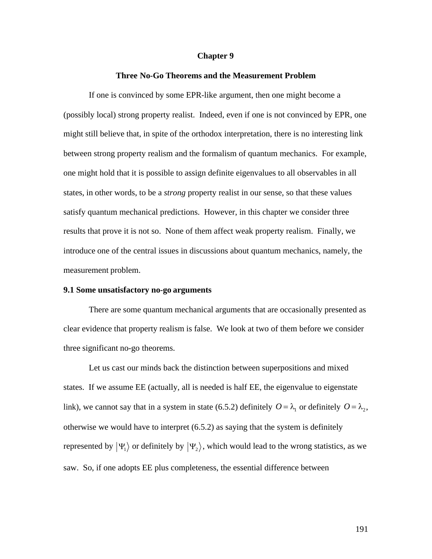#### **Chapter 9**

#### **Three No-Go Theorems and the Measurement Problem**

If one is convinced by some EPR-like argument, then one might become a (possibly local) strong property realist. Indeed, even if one is not convinced by EPR, one might still believe that, in spite of the orthodox interpretation, there is no interesting link between strong property realism and the formalism of quantum mechanics. For example, one might hold that it is possible to assign definite eigenvalues to all observables in all states, in other words, to be a *strong* property realist in our sense, so that these values satisfy quantum mechanical predictions. However, in this chapter we consider three results that prove it is not so. None of them affect weak property realism. Finally, we introduce one of the central issues in discussions about quantum mechanics, namely, the measurement problem.

#### **9.1 Some unsatisfactory no-go arguments**

There are some quantum mechanical arguments that are occasionally presented as clear evidence that property realism is false. We look at two of them before we consider three significant no-go theorems.

Let us cast our minds back the distinction between superpositions and mixed states. If we assume EE (actually, all is needed is half EE, the eigenvalue to eigenstate link), we cannot say that in a system in state (6.5.2) definitely  $O = \lambda_1$  or definitely  $O = \lambda_2$ , represented by  $|\Psi_1\rangle$  or definitely by  $|\Psi_2\rangle$ , which would lead to the wrong statistics, as we otherwise we would have to interpret (6.5.2) as saying that the system is definitely saw. So, if one adopts EE plus completeness, the essential difference between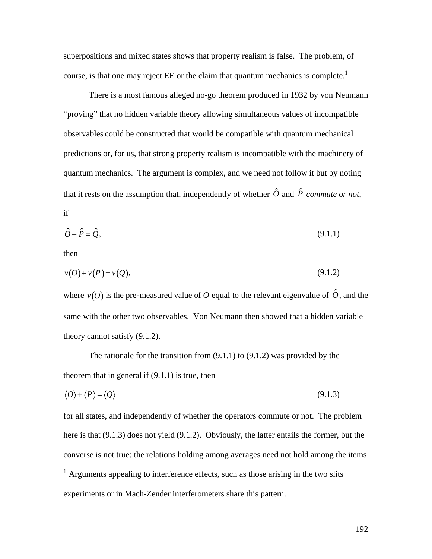superpositions and mixed states shows that property realism is false. The problem, of course, is that one may reject EE or the claim that quantum mechanics is complete.<sup>1</sup>

There is a most famous alleged no-go theorem produced in 1932 by von Neumann "proving" that no hidden variable theory allowing simultaneous values of incompatible observables could be constructed that would be compatible with quantum mechanical predictions or, for us, that strong property realism is incompatible with the machinery of quantum mechanics. The argument is complex, and we need not follow it but by noting that it rests on the assumption that, independently of whether  $\hat{O}$  and  $\hat{P}$  *commute or not*, if

$$
\hat{O} + \hat{P} = \hat{Q},\tag{9.1.1}
$$

then

$$
v(O) + v(P) = v(Q), \tag{9.1.2}
$$

where  $v(O)$  is the pre-measured value of O equal to the relevant eigenvalue of  $\hat{O}$ , and the theory cannot satisfy  $(9.1.2)$ . same with the other two observables. Von Neumann then showed that a hidden variable

The rationale for the transition from (9.1.1) to (9.1.2) was provided by the theorem that in general if  $(9.1.1)$  is true, then

$$
\langle O \rangle + \langle P \rangle = \langle Q \rangle \tag{9.1.3}
$$

for all states, and independently of whether the operators commute or not. The problem here is that (9.1.3) does not yield (9.1.2). Obviously, the latter entails the former, but the converse is not true: the relations holding among averages need not hold among the items  $\overline{a}$ 

 $<sup>1</sup>$  Arguments appealing to interference effects, such as those arising in the two slits</sup> experiments or in Mach-Zender interferometers share this pattern.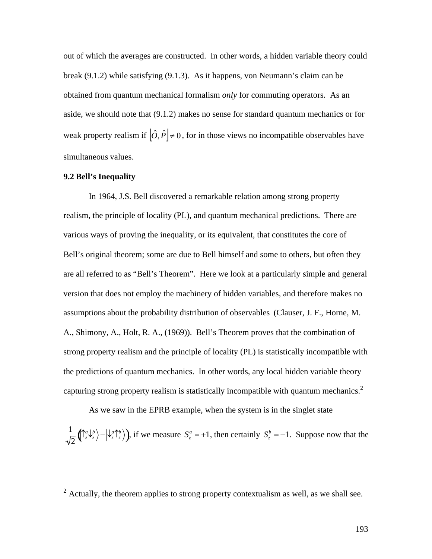out of which the averages are constructed. In other words, a hidden variable theory could break (9.1.2) while satisfying (9.1.3). As it happens, von Neumann's claim can be obtained from quantum mechanical formalism *only* for commuting operators. As an aside, we should note that (9.1.2) makes no sense for standard quantum mechanics or for weak property realism if  $|\hat{O}, \hat{P}| \neq 0$ , for in those views no incompatible observables have simultaneous values.

#### **9.2 Bell's Inequality**

In 1964, J.S. Bell discovered a remarkable relation among strong property realism, the principle of locality (PL), and quantum mechanical predictions. There are various ways of proving the inequality, or its equivalent, that constitutes the core of Bell's original theorem; some are due to Bell himself and some to others, but often they are all referred to as "Bell's Theorem". Here we look at a particularly simple and general version that does not employ the machinery of hidden variables, and therefore makes no assumptions about the probability distribution of observables (Clauser, J. F., Horne, M. A., Shimony, A., Holt, R. A., (1969)). Bell's Theorem proves that the combination of strong property realism and the principle of locality (PL) is statistically incompatible with the predictions of quantum mechanics. In other words, any local hidden variable theory capturing strong property realism is statistically incompatible with quantum mechanics.<sup>2</sup>

As we saw in the EPRB example, when the system is in the singlet state 1  $\mathbf{A}$  $\frac{1}{2} \left( \int_{z}^{a} \left( \int_{z}^{b} \right) - \left| \int_{z}^{a} \right|_{z}^{b} \right)$ , if we measure  $S_z^a = +1$ , then certainly  $S_z^b = -1$ . Suppose now that the

<sup>&</sup>lt;sup>2</sup> Actually, the theorem applies to strong property contextualism as well, as we shall see.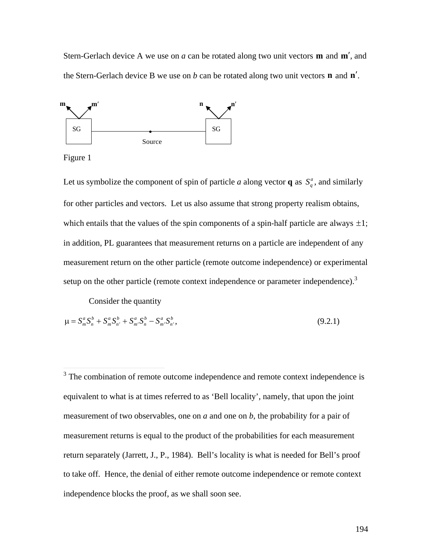Stern-Gerlach device A we use on  $a$  can be rotated along two unit vectors  $\mathbf{m}$  and  $\mathbf{m}'$ , and the Stern-Gerlach device B we use on  $b$  can be rotated along two unit vectors **n** and  $n'$ .



Figure 1

Let us symbolize the component of spin of particle *a* along vector **q** as  $S_q^a$ , and similarly which entails that the values of the spin components of a spin-half particle are always  $\pm 1$ ; for other particles and vectors. Let us also assume that strong property realism obtains, in addition, PL guarantees that measurement returns on a particle are independent of any measurement return on the other particle (remote outcome independence) or experimental setup on the other particle (remote context independence or parameter independence).<sup>3</sup>

Consider the quantity

$$
\mu = S_m^a S_n^b + S_m^a S_{n'}^b + S_{m'}^a S_n^b - S_{m'}^a S_{n'}^b,
$$
\n(9.2.1)

<sup>&</sup>lt;sup>3</sup> The combination of remote outcome independence and remote context independence is equivalent to what is at times referred to as 'Bell locality', namely, that upon the joint measurement of two observables, one on *a* and one on *b*, the probability for a pair of measurement returns is equal to the product of the probabilities for each measurement return separately (Jarrett, J., P., 1984). Bell's locality is what is needed for Bell's proof to take off. Hence, the denial of either remote outcome independence or remote context independence blocks the proof, as we shall soon see.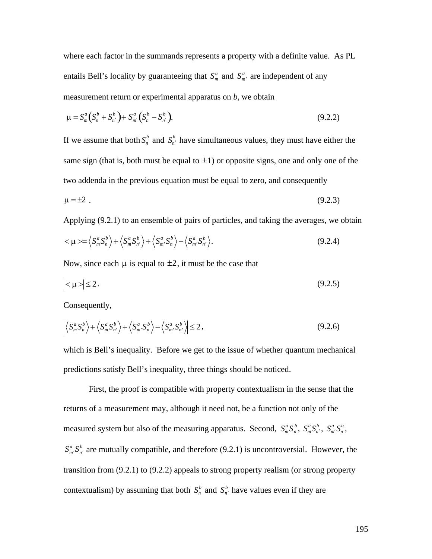where each factor in the summands represents a property with a definite value. As PL entails Bell's locality by guaranteeing that  $S_m^a$  and  $S_{m'}^a$  are independent of any measurement return or experimental apparatus on *b*, we obtain

$$
\mu = S_m^a (S_n^b + S_{n'}^b) + S_{m'}^a (S_n^b - S_{n'}^b).
$$
\n(9.2.2)

If we assume that both  $S_n^b$  and  $S_n^b$  have simultaneous values, they must have either the same sign (that is, both must be equal to  $\pm 1$ ) or opposite signs, one and only one of the two addenda in the previous equation must be equal to zero, and consequently

$$
\mu = \pm 2 \tag{9.2.3}
$$

Applying (9.2.1) to an ensemble of pairs of particles, and taking the averages, we obtain

$$
\langle \mu \rangle = \langle S_m^a S_n^b \rangle + \langle S_m^a S_{n'}^b \rangle + \langle S_{m'}^a S_n^b \rangle - \langle S_{m'}^a S_{n'}^b \rangle.
$$
 (9.2.4)

Now, since each  $\mu$  is equal to  $\pm 2$ , it must be the case that

$$
|\langle \mu \rangle| \le 2. \tag{9.2.5}
$$

Consequently,

$$
\left| \left\langle S_m^a S_n^b \right\rangle + \left\langle S_m^a S_{n'}^b \right\rangle + \left\langle S_m^a S_n^b \right\rangle - \left\langle S_m^a S_{n'}^b \right\rangle \right| \leq 2, \tag{9.2.6}
$$

which is Bell's inequality. Before we get to the issue of whether quantum mechanical predictions satisfy Bell's inequality, three things should be noticed.

First, the proof is compatible with property contextualism in the sense that the returns of a measurement may, although it need not, be a function not only of the measured system but also of the measuring apparatus. Second,  $S_m^a S_n^b$ ,  $S_m^a S_n^b$ ,  $S_m^a S_n^b$ ,  $S_m^a \cdot S_{n'}^b$  are mutually compatible, and therefore (9.2.1) is uncontroversial. However, the transition from (9.2.1) to (9.2.2) appeals to strong property realism (or strong property contextualism) by assuming that both  $S_n^b$  and  $S_n^b$  have values even if they are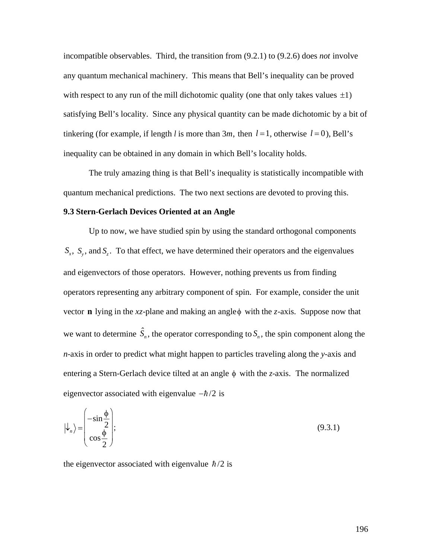incompatible observables. Third, the transition from (9.2.1) to (9.2.6) does *not* involve any quantum mechanical machinery. This means that Bell's inequality can be proved with respect to any run of the mill dichotomic quality (one that only takes values  $\pm 1$ ) tinkering (for example, if length *l* is more than  $3m$ , then  $l = 1$ , otherwise  $l = 0$ ), Bell's satisfying Bell's locality. Since any physical quantity can be made dichotomic by a bit of inequality can be obtained in any domain in which Bell's locality holds.

The truly amazing thing is that Bell's inequality is statistically incompatible with quantum mechanical predictions. The two next sections are devoted to proving this.

### **9.3 Stern-Gerlach Devices Oriented at an Angle**

Up to now, we have studied spin by using the standard orthogonal components  $S_x$ ,  $S_y$ , and  $S_z$ . To that effect, we have determined their operators and the eigenvalues and eigenvectors of those operators. However, nothing prevents us from finding operators representing any arbitrary component of spin. For example, consider the unit vector **n** lying in the  $xz$ -plane and making an angle  $\phi$  with the *z*-axis. Suppose now that we want to determine  $\hat{S}_n$ , the operator corresponding to  $S_n$ , the spin component along the *n*-axis in order to predict what might happen to particles traveling along the *y*-axis and entering a Stern-Gerlach device tilted at an angle *f* with the *z*-axis. The normalized eigenvector associated with eigenvalue  $-\hbar/2$  is

$$
|\psi_n\rangle = \begin{pmatrix} -\sin\frac{\phi}{2} \\ \cos\frac{\phi}{2} \end{pmatrix};\tag{9.3.1}
$$

the eigenvector associated with eigenvalue  $\hbar/2$  is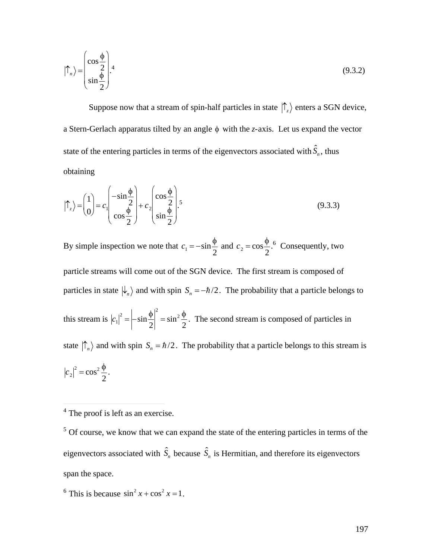$$
|\Upsilon_n\rangle = \begin{pmatrix} \cos\frac{\phi}{2} \\ \sin\frac{\phi}{2} \end{pmatrix} .4
$$
 (9.3.2)

Suppose now that a stream of spin-half particles in state  $|\uparrow_z\rangle$  enters a SGN device, a Stern-Gerlach apparatus tilted by an angle  $\phi$  with the *z*-axis. Let us expand the vector state of the entering particles in terms of the eigenvectors associated with  $\hat{S}_n$ , thus obtaining

$$
|\uparrow_z\rangle = \begin{pmatrix} 1 \\ 0 \end{pmatrix} = c_1 \begin{pmatrix} -\sin\frac{\phi}{2} \\ \cos\frac{\phi}{2} \end{pmatrix} + c_2 \begin{pmatrix} \cos\frac{\phi}{2} \\ \sin\frac{\phi}{2} \end{pmatrix},
$$
(9.3.3)

By simple inspection we note that  $c_1 = -\sin{\frac{\phi}{2}}$  and  $c_2 = \cos{\frac{\phi}{2}}$ .<sup>6</sup> Consequently, two

particle streams will come out of the SGN device. The first stream is composed of particles in state  $|\psi_n\rangle$  and with spin  $S_n = -\hbar/2$ . The probability that a particle belongs to this stream is  $|c_1|^2 = \left| -\sin \frac{\phi}{2} \right|^2 = \sin^2 \frac{\phi}{2}$ . The second stream is composed of particles in state  $|\hat{\Gamma}_n\rangle$  and with spin  $S_n = \hbar/2$ . The probability that a particle belongs to this stream is  $|c_2|^2 = \cos^2 \frac{\phi}{2}$ .

 $5$  Of course, we know that we can expand the state of the entering particles in terms of the eigenvectors associated with  $\hat{S}_n$  because  $\hat{S}_n$  is Hermitian, and therefore its eigenvectors span the space.

<sup>6</sup> This is because  $\sin^2 x + \cos^2 x = 1$ .

 $4$  The proof is left as an exercise.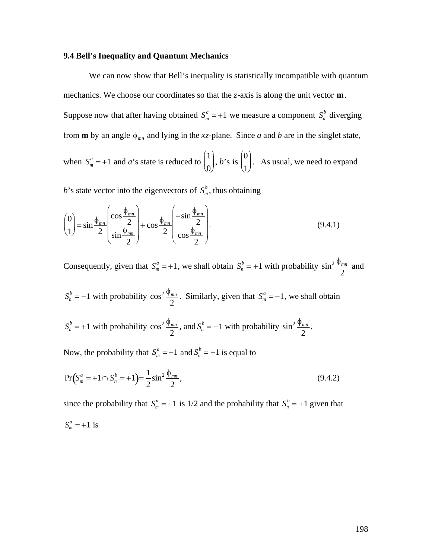# 9.4 Bell's Inequality and Quantum Mechanics

We can now show that Bell's inequality is statistically incompatible with quantum mechanics. We choose our coordinates so that the  $z$ -axis is along the unit vector  $\mathbf{m}$ . Suppose now that after having obtained  $S_m^a = +1$  we measure a component  $S_n^b$  diverging from **m** by an angle  $\phi_{mn}$  and lying in the xz-plane. Since a and b are in the singlet state, when  $S_m^a = +1$  and a's state is reduced to  $\begin{pmatrix} 1 \\ 0 \end{pmatrix}$ , b's is  $\begin{pmatrix} 0 \\ 1 \end{pmatrix}$ . As usual, we need to expand

b's state vector into the eigenvectors of  $S_m^b$ , thus obtaining

$$
\begin{pmatrix} 0 \\ 1 \end{pmatrix} = \sin \frac{\phi_{mn}}{2} \begin{pmatrix} \cos \frac{\phi_{mn}}{2} \\ \sin \frac{\phi_{mn}}{2} \end{pmatrix} + \cos \frac{\phi_{mn}}{2} \begin{pmatrix} -\sin \frac{\phi_{mn}}{2} \\ \cos \frac{\phi_{mn}}{2} \end{pmatrix}.
$$
 (9.4.1)

Consequently, given that  $S_m^a = +1$ , we shall obtain  $S_n^b = +1$  with probability  $\sin^2 \frac{\phi_{mn}}{2}$  and

 $S_n^b = -1$  with probability  $\cos^2 \frac{\phi_{mn}}{2}$ . Similarly, given that  $S_m^a = -1$ , we shall obtain

 $S_n^b = +1$  with probability  $\cos^2 \frac{\phi_{mn}}{2}$ , and  $S_n^b = -1$  with probability  $\sin^2 \frac{\phi_{mn}}{2}$ .

Now, the probability that  $S_m^a = +1$  and  $S_n^b = +1$  is equal to

$$
\Pr(S_m^a = +1 \cap S_n^b = +1) = \frac{1}{2} \sin^2 \frac{\phi_{mn}}{2},\tag{9.4.2}
$$

since the probability that  $S_m^a = +1$  is 1/2 and the probability that  $S_n^b = +1$  given that  $S_m^a = +1$  is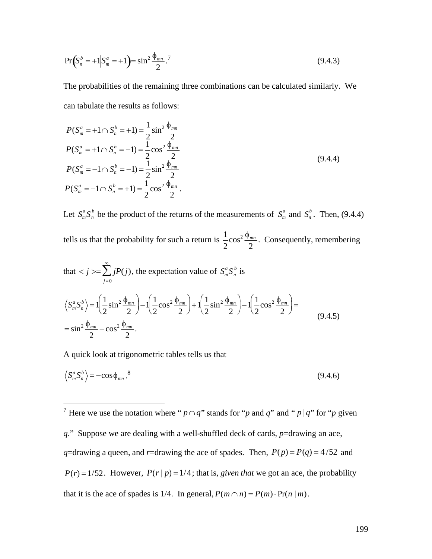$$
\Pr\left(S_n^b = +1 \middle| S_m^a = +1\right) = \sin^2 \frac{\Phi_{mn}}{2}.
$$
\n(9.4.3)

The probabilities of the remaining three combinations can be calculated similarly. We can tabulate the results as follows:

$$
P(S_m^a = +1 \cap S_n^b = +1) = \frac{1}{2} \sin^2 \frac{\phi_{mn}}{2}
$$
  
\n
$$
P(S_m^a = +1 \cap S_n^b = -1) = \frac{1}{2} \cos^2 \frac{\phi_{mn}}{2}
$$
  
\n
$$
P(S_m^a = -1 \cap S_n^b = -1) = \frac{1}{2} \sin^2 \frac{\phi_{mn}}{2}
$$
  
\n
$$
P(S_m^a = -1 \cap S_n^b = +1) = \frac{1}{2} \cos^2 \frac{\phi_{mn}}{2}.
$$
  
\n(9.4.4)

Let  $S_m^a S_n^b$  be the product of the returns of the measurements of  $S_m^a$  and  $S_n^b$ . Then, (9.4.4) tells us that the probability for such a return is  $\frac{1}{2} \cos^2 \frac{\phi_{mn}}{2}$ . Consequently, remembering

that 
$$
\langle j \rangle = \sum_{j=0}^{\infty} jP(j)
$$
, the expectation value of  $S_m^a S_n^b$  is  
\n $\langle S_m^a S_n^b \rangle = 1 \left( \frac{1}{2} \sin^2 \frac{\phi_{mn}}{2} \right) - 1 \left( \frac{1}{2} \cos^2 \frac{\phi_{mn}}{2} \right) + 1 \left( \frac{1}{2} \sin^2 \frac{\phi_{mn}}{2} \right) - 1 \left( \frac{1}{2} \cos^2 \frac{\phi_{mn}}{2} \right) =$   
\n $= \sin^2 \frac{\phi_{mn}}{2} - \cos^2 \frac{\phi_{mn}}{2}$ . (9.4.5)

A quick look at trigonometric tables tells us that

$$
\left\langle S_m^a S_n^b \right\rangle = -\cos\phi_{mn}^{\quad 8}.\tag{9.4.6}
$$

<sup>7</sup> Here we use the notation where " $p \cap q$ " stands for "p and q" and " p |q" for "p given q." Suppose we are dealing with a well-shuffled deck of cards,  $p=$ drawing an ace, q=drawing a queen, and r=drawing the ace of spades. Then,  $P(p) = P(q) = 4/52$  and  $P(r) = 1/52$ . However,  $P(r | p) = 1/4$ ; that is, *given that* we got an ace, the probability that it is the ace of spades is 1/4. In general,  $P(m \cap n) = P(m) \cdot Pr(n|m)$ .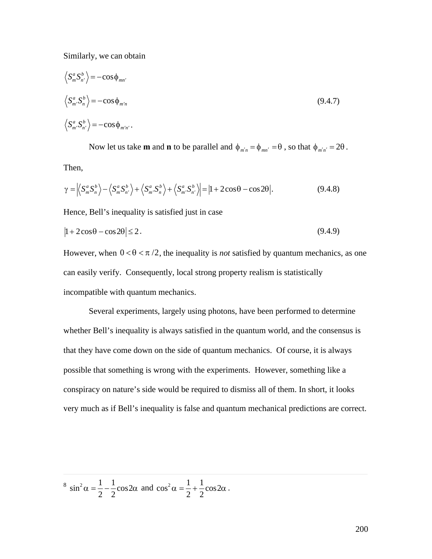Similarly, we can obtain

$$
\langle S_m^a S_{n'}^b \rangle = -\cos \phi_{mn'}
$$
  

$$
\langle S_m^a S_n^b \rangle = -\cos \phi_{m'n}
$$
  

$$
\langle S_{m'}^a S_{n'}^b \rangle = -\cos \phi_{m'n'}.
$$
 (9.4.7)

Now let us take **m** and **n** to be parallel and  $\phi_{m'n} = \phi_{mn'} = \theta$ , so that  $\phi_{m'n'} = 2\theta$ . Then,

$$
\gamma = \left| \left\langle S_m^a S_n^b \right\rangle - \left\langle S_m^a S_{n'}^b \right\rangle + \left\langle S_m^a S_n^b \right\rangle + \left\langle S_m^a S_{n'}^b \right\rangle \right| = \left| 1 + 2\cos\theta - \cos 2\theta \right|.
$$
 (9.4.8)

Hence, Bell's inequality is satisfied just in case

$$
|1 + 2\cos\theta - \cos 2\theta| \le 2. \tag{9.4.9}
$$

However, when  $0 < \theta < \pi/2$ , the inequality is *not* satisfied by quantum mechanics, as one incompatible with quantum mechanics. can easily verify. Consequently, local strong property realism is statistically

Several experiments, largely using photons, have been performed to determine whether Bell's inequality is always satisfied in the quantum world, and the consensus is that they have come down on the side of quantum mechanics. Of course, it is always possible that something is wrong with the experiments. However, something like a conspiracy on nature's side would be required to dismiss all of them. In short, it looks very much as if Bell's inequality is false and quantum mechanical predictions are correct.

<sup>8</sup> sin<sup>2</sup> $\alpha = \frac{1}{2} - \frac{1}{2} \cos 2\alpha$  a 2  $\cos 2\alpha$  and  $\cos^2 \alpha = \frac{1}{2} + \frac{1}{2}\cos 2\alpha$ 2 2  $+\frac{1}{2}\cos 2\alpha$ . 2  $\cos 2\alpha$ .

 $\overline{a}$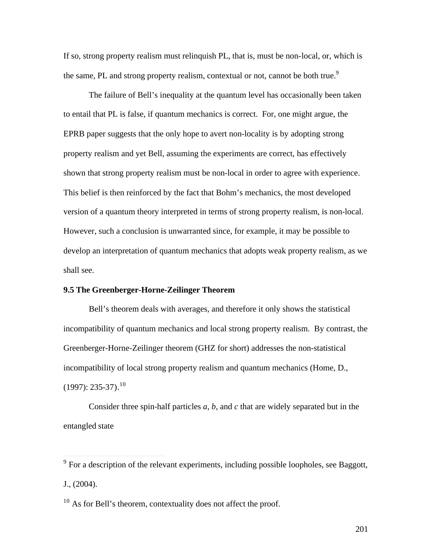If so, strong property realism must relinquish PL, that is, must be non-local, or, which is the same, PL and strong property realism, contextual or not, cannot be both true.<sup>9</sup>

The failure of Bell's inequality at the quantum level has occasionally been taken to entail that PL is false, if quantum mechanics is correct. For, one might argue, the EPRB paper suggests that the only hope to avert non-locality is by adopting strong property realism and yet Bell, assuming the experiments are correct, has effectively shown that strong property realism must be non-local in order to agree with experience. This belief is then reinforced by the fact that Bohm's mechanics, the most developed version of a quantum theory interpreted in terms of strong property realism, is non-local. However, such a conclusion is unwarranted since, for example, it may be possible to develop an interpretation of quantum mechanics that adopts weak property realism, as we shall see.

### **9.5 The Greenberger-Horne-Zeilinger Theorem**

Bell's theorem deals with averages, and therefore it only shows the statistical incompatibility of quantum mechanics and local strong property realism. By contrast, the Greenberger-Horne-Zeilinger theorem (GHZ for short) addresses the non-statistical incompatibility of local strong property realism and quantum mechanics (Home, D.,  $(1997): 235-37).$ <sup>10</sup>

Consider three spin-half particles *a*, *b*, and *c* that are widely separated but in the entangled state

<sup>&</sup>lt;sup>9</sup> For a description of the relevant experiments, including possible loopholes, see Baggott, J., (2004).

 $10$  As for Bell's theorem, contextuality does not affect the proof.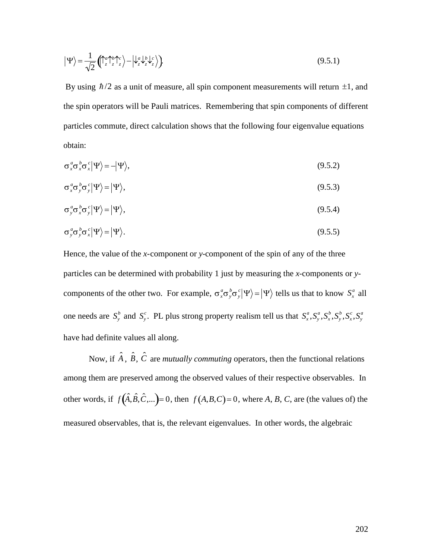$$
\left|\Psi\right\rangle = \frac{1}{\sqrt{2}} \left(\int_{z}^{a} \int_{z}^{b} \int_{z}^{c} \right) - \left|\psi_{z}^{a} \psi_{z}^{b} \psi_{z}^{c} \right\rangle \right).
$$
\n(9.5.1)

By using  $\hbar/2$  as a unit of measure, all spin component measurements will return  $\pm 1$ , and particles commute, direct calculation shows that the following four eigenvalue equations the spin operators will be Pauli matrices. Remembering that spin components of different obtain:

$$
\sigma_x^a \sigma_x^b \sigma_x^c |\Psi\rangle = -|\Psi\rangle, \tag{9.5.2}
$$

$$
\sigma_x^a \sigma_y^b \sigma_y^c |\Psi\rangle = |\Psi\rangle, \tag{9.5.3}
$$

$$
\sigma_y^a \sigma_x^b \sigma_y^c |\Psi\rangle = |\Psi\rangle, \tag{9.5.4}
$$

$$
\sigma_y^a \sigma_y^b \sigma_x^c |\Psi\rangle = |\Psi\rangle. \tag{9.5.5}
$$

Hence, the value of the *x*-component or *y*-component of the spin of any of the three particles can be determined with probability 1 just by measuring the *x*-components or *y*components of the other two. For example,  $\sigma_x^a \sigma_y^b \sigma_y^c |\Psi\rangle = |\Psi\rangle$  tells us that to know  $S_x^a$  all one needs are  $S_y^b$  and  $S_y^c$ . PL plus strong property realism tell us that  $S_x^a, S_y^a, S_x^b, S_y^b, S_x^c, S_y^a$ have had definite values all along.

Now, if  $\hat{A}$ ,  $\hat{B}$ ,  $\hat{C}$  are *mutually commuting* operators, then the functional relations among them are preserved among the observed values of their respective observables. In other words, if  $f(\hat{A}, \hat{B}, \hat{C}, \dots) = 0$ , then  $f(A, B, C) = 0$ , where *A*, *B*, *C*, are (the values of) the measured observables, that is, the relevant eigenvalues. In other words, the algebraic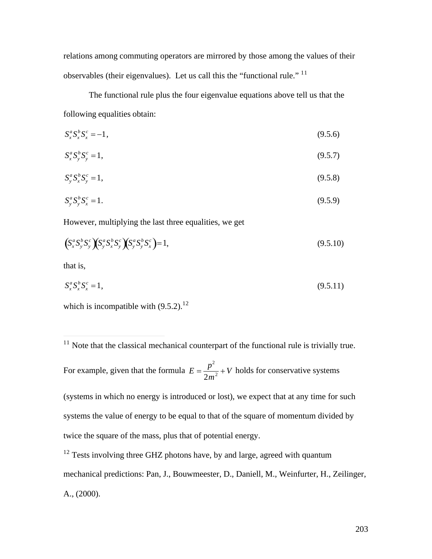relations among commuting operators are mirrored by those among the values of their observables (their eigenvalues). Let us call this the "functional rule." <sup>11</sup>

The functional rule plus the four eigenvalue equations above tell us that the following equalities obtain:

$$
S_x^a S_x^b S_x^c = -1, \tag{9.5.6}
$$

$$
S_x^a S_y^b S_y^c = 1, \tag{9.5.7}
$$

$$
S_y^a S_x^b S_y^c = 1,\tag{9.5.8}
$$

$$
S_{y}^{a} S_{y}^{b} S_{x}^{c} = 1. \tag{9.5.9}
$$

However, multiplying the last three equalities, we get

$$
\left(S_x^a S_y^b S_y^c \right) \left(S_y^a S_x^b S_y^c \right) \left(S_y^a S_y^b S_x^c \right) = 1, \tag{9.5.10}
$$

that is,

 $\overline{a}$ 

$$
S_x^a S_x^b S_x^c = 1, \tag{9.5.11}
$$

which is incompatible with  $(9.5.2).^{12}$ 

For example, given that the formula  $E = \frac{p^2}{2} + V$  ho  $\frac{P}{2m^2}$  + *V* holds for conservative systems

systems the value of energy to be equal to that of the square of momentum divided by (systems in which no energy is introduced or lost), we expect that at any time for such twice the square of the mass, plus that of potential energy.

 $12$  Tests involving three GHZ photons have, by and large, agreed with quantum mechanical predictions: Pan, J., Bouwmeester, D., Daniell, M., Weinfurter, H., Zeilinger, A., (2000).

 $11$  Note that the classical mechanical counterpart of the functional rule is trivially true.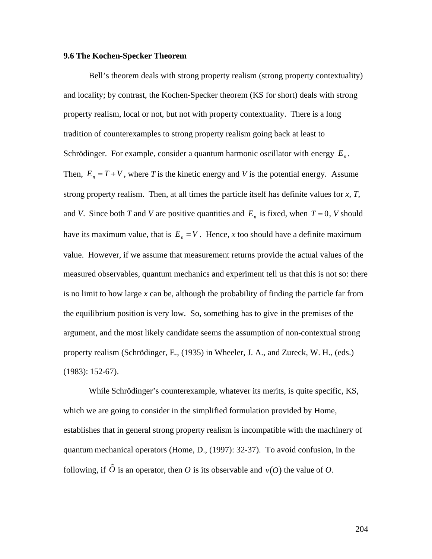#### **9.6 The Kochen-Specker Theorem**

Bell's theorem deals with strong property realism (strong property contextuality) and locality; by contrast, the Kochen-Specker theorem (KS for short) deals with strong property realism, local or not, but not with property contextuality. There is a long tradition of counterexamples to strong property realism going back at least to Schrödinger. For example, consider a quantum harmonic oscillator with energy *E<sup>n</sup>* . strong property realism. Then, at all times the particle itself has definite values for  $x$ ,  $T$ , Then,  $E_n = T + V$ , where *T* is the kinetic energy and *V* is the potential energy. Assume and *V*. Since both *T* and *V* are positive quantities and  $E<sub>n</sub>$  is fixed, when  $T = 0$ , *V* should ment returns provide the have its maximum value, that is  $E_n = V$ . Hence, *x* too should have a definite maximum measured observables, quantum mechanics and experiment tell us that this is not so: there value. However, if we assume that measurement returns provide the actual values of the is no limit to how large *x* can be, although the probability of finding the particle far from the equilibrium position is very low. So, something has to give in the premises of the argument, and the most likely candidate seems the assumption of non-contextual strong property realism (Schrödinger, E., (1935) in Wheeler, J. A., and Zureck, W. H., (eds.) (1983): 152-67).

While Schrödinger's counterexample, whatever its merits, is quite specific, KS, which we are going to consider in the simplified formulation provided by Home, establishes that in general strong property realism is incompatible with the machinery of quantum mechanical operators (Home, D., (1997): 32-37). To avoid confusion, in the following, if  $\hat{O}$  is an operator, then *O* is its observable and  $v(O)$  the value of *O*.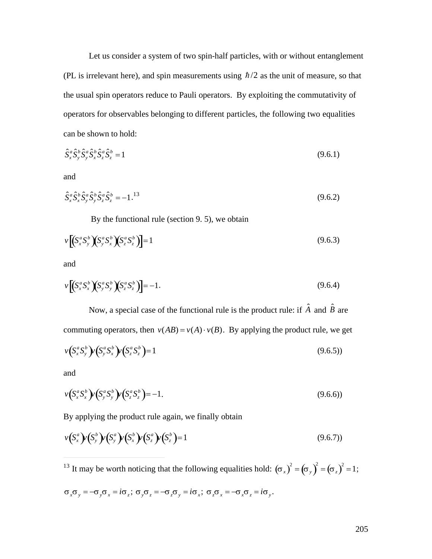Let us consider a system of two spin-half particles, with or without entanglement (PL is irrelevant here), and spin measurements using  $\hbar/2$  as the unit of measure, so that † operators for observables belonging to different particles, the following two equalities the usual spin operators reduce to Pauli operators. By exploiting the commutativity of can be shown to hold:

$$
\hat{S}_x^a \hat{S}_y^b \hat{S}_y^a \hat{S}_x^b \hat{S}_z^a \hat{S}_z^b = 1
$$
\n(9.6.1)

and

$$
\hat{S}_x^a \hat{S}_x^b \hat{S}_y^a \hat{S}_y^b \hat{S}_z^a \hat{S}_z^b = -1.^{13}
$$
\n(9.6.2)

By the functional rule (section 9. 5), we obtain

$$
v\left[\left(S_x^a S_y^b\right)\left(S_y^a S_x^b\right)\left(S_z^a S_z^b\right)\right] = 1\tag{9.6.3}
$$

and

$$
\nu \left[ \left( S_x^a S_x^b \right) \left( S_y^a S_y^b \right) \left( S_z^a S_z^b \right) \right] = -1. \tag{9.6.4}
$$

Now, a special case of the functional rule is the product rule: if  $\hat{A}$  and  $\hat{B}$  are commuting operators, then  $v(AB) = v(A) \cdot v(B)$ . By applying the product rule, we get

$$
\nu(S_x^a S_y^b)\nu(S_y^a S_x^b)\nu(S_z^a S_z^b) = 1
$$
\n(9.6.5)

and

 $\overline{a}$ 

$$
\nu(S_x^a S_x^b)\nu(S_y^a S_y^b)\nu(S_z^a S_z^b) = -1.
$$
\n(9.6.6)

By applying the product rule again, we finally obtain

$$
\nu(S_x^a)\nu(S_y^b)\nu(S_x^a)\nu(S_z^b)\nu(S_z^b)=1
$$
\n(9.6.7)

<sup>13</sup> It may be worth noticing that the following equalities hold:  $(\sigma_x)^2 = (\sigma_y)^2 = (\sigma_z)^2 = 1$ ;

$$
\sigma_x \sigma_y = -\sigma_y \sigma_x = i\sigma_z; \sigma_y \sigma_z = -\sigma_z \sigma_y = i\sigma_x; \sigma_z \sigma_x = -\sigma_x \sigma_z = i\sigma_y.
$$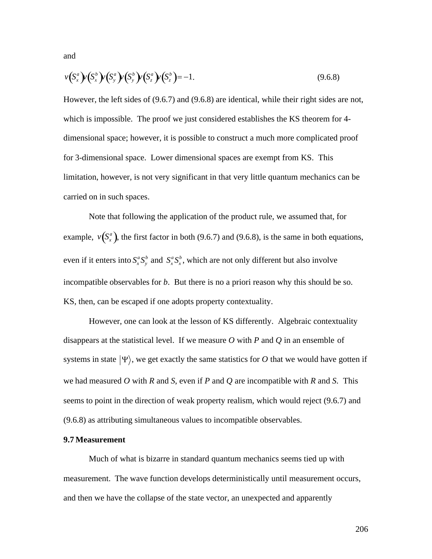and

$$
\nu(S_x^a)\nu(S_x^b)\nu(S_y^a)\nu(S_z^b)\nu(S_z^b) = -1.
$$
\n(9.6.8)

However, the left sides of (9.6.7) and (9.6.8) are identical, while their right sides are not, which is impossible. The proof we just considered establishes the KS theorem for 4 dimensional space; however, it is possible to construct a much more complicated proof for 3-dimensional space. Lower dimensional spaces are exempt from KS. This limitation, however, is not very significant in that very little quantum mechanics can be carried on in such spaces.

Note that following the application of the product rule, we assumed that, for example,  $v(S_x^a)$ , the first factor in both (9.6.7) and (9.6.8), is the same in both equations,  $\mathbf{F}^{(n)}$ even if it enters into  $S_x^a S_y^b$  and  $S_x^a S_x^b$ , which are not only different but also involve KS, then, can be escaped if one adopts property contextuality. incompatible observables for *b*. But there is no a priori reason why this should be so.

However, one can look at the lesson of KS differently. Algebraic contextuality disappears at the statistical level. If we measure *O* with *P* and *Q* in an ensemble of systems in state  $|\Psi\rangle$ , we get exactly the same statistics for O that we would have gotten if seems to point in the direction of weak property realism, which would reject (9.6.7) and we had measured *O* with *R* and *S*, even if *P* and *Q* are incompatible with *R* and *S*. This (9.6.8) as attributing simultaneous values to incompatible observables.

#### **9.7 Measurement**

Much of what is bizarre in standard quantum mechanics seems tied up with measurement. The wave function develops deterministically until measurement occurs, and then we have the collapse of the state vector, an unexpected and apparently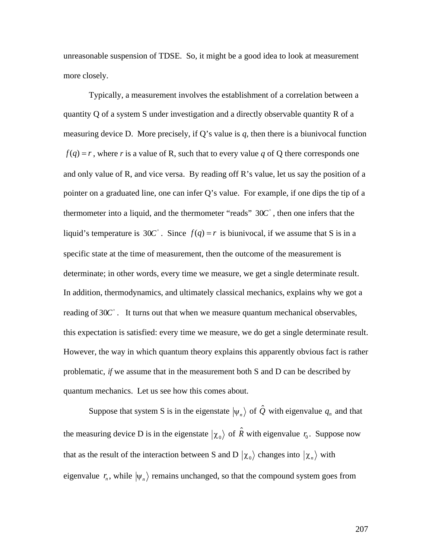unreasonable suspension of TDSE. So, it might be a good idea to look at measurement more closely.

Typically, a measurement involves the establishment of a correlation between a quantity Q of a system S under investigation and a directly observable quantity R of a measuring device D. More precisely, if Q's value is  $q$ , then there is a biunivocal function  $f(q) = r$ , where *r* is a value of R, such that to every value *q* of Q there corresponds one and only value of R, and vice versa. By reading off R's value, let us say the position of a pointer on a graduated line, one can infer Q's value. For example, if one dips the tip of a thermometer into a liquid, and the thermometer "reads"  $30C^{\circ}$ , then one infers that the liquid's temperature is  $30C^{\circ}$ . Since  $f(q) = r$  is biunivocal, if we assume that S is in a specific state at the time of measurement, then the outcome of the measurement is determinate; in other words, every time we measure, we get a single determinate result. In addition, thermodynamics, and ultimately classical mechanics, explains why we got a reading of  $30C^{\circ}$ . It turns out that when we measure quantum mechanical observables, this expectation is satisfied: every time we measure, we do get a single determinate result. However, the way in which quantum theory explains this apparently obvious fact is rather problematic, *if* we assume that in the measurement both S and D can be described by quantum mechanics. Let us see how this comes about.

Suppose that system S is in the eigenstate  $|\psi_n\rangle$  of  $\hat{Q}$  with eigenvalue  $q_n$  and that  $\overline{a}$ the measuring device D is in the eigenstate  $|\chi_0\rangle$  of  $\hat{R}$  with eigenvalue  $r_0$ . Suppose now eigenvalue  $r_n$ , while  $|\psi_n\rangle$  remains unchanged, so that the compound system goes from that as the result of the interaction between S and D  $|\chi_0\rangle$  changes into  $|\chi_n\rangle$  with

207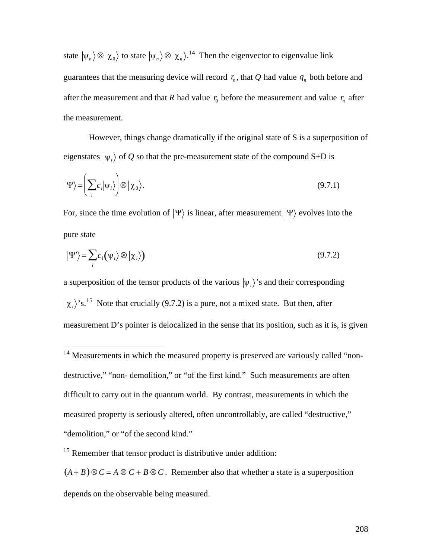state  $|\psi_n\rangle \otimes |\chi_0\rangle$  to state  $|\psi_n\rangle \otimes |\chi_n\rangle$ .<sup>14</sup> Then the eigenvector to eigenvalue link after the measurement and that *R* had value  $r_0$  before the measurement and value  $r_n$  after guarantees that the measuring device will record  $r_n$ , that Q had value  $q_n$  both before and the measurement.

However, things change dramatically if the original state of S is a superposition of eigenstates  $|\psi_i\rangle$  of *Q* so that the pre-measurement state of the compound S+D is

$$
|\Psi\rangle = \left(\sum_i c_i |\psi_i\rangle\right) \otimes |\chi_0\rangle. \tag{9.7.1}
$$

For, since the time evolution of  $|\Psi\rangle$  is linear, after measurement  $|\Psi\rangle$  evolves into the pure state

$$
|\Psi'\rangle = \sum_{i} c_i (|\psi_i\rangle \otimes |\chi_i\rangle)
$$
 (9.7.2)

a superposition of the tensor products of the various  $|\psi_i\rangle$ 's and their corresponding  $\mathbf{d}$  $\chi_i$ <sup>2</sup> is.<sup>15</sup> Note that crucially (9.7.2) is a pure, not a mixed state. But then, after measurement D's pointer is delocalized in the sense that its position, such as it is, is given

 $\overline{a}$ 

destructive," "non- demolition," or "of the first kind." Such measurements are often  $14$  Measurements in which the measured property is preserved are variously called "nondifficult to carry out in the quantum world. By contrast, measurements in which the measured property is seriously altered, often uncontrollably, are called "destructive," "demolition," or "of the second kind."

<sup>&</sup>lt;sup>15</sup> Remember that tensor product is distributive under addition:

 $(A + B) \otimes C = A \otimes C + B \otimes C$ . Remember also that whether a state is a superposition depends on the observable being measured.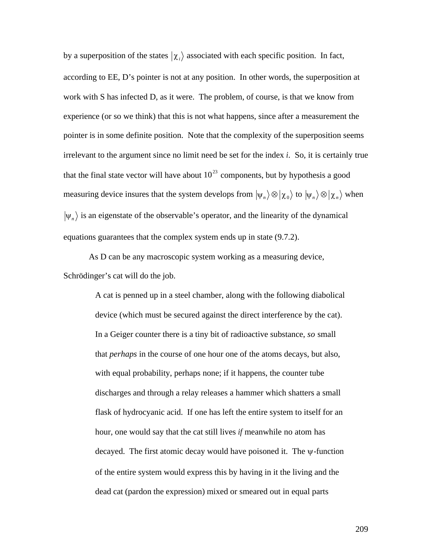by a superposition of the states  $\langle \chi_i \rangle$  associated with each specific position. In fact, work with S has infected D, as it were. The problem, of course, is that we know from according to EE, D's pointer is not at any position. In other words, the superposition at experience (or so we think) that this is not what happens, since after a measurement the pointer is in some definite position. Note that the complexity of the superposition seems irrelevant to the argument since no limit need be set for the index *i*. So, it is certainly true that the final state vector will have about  $10^{23}$  components, but by hypothesis a good measuring device insures that the system develops from  $|\psi_n\rangle \otimes |\chi_0\rangle$  to  $|\psi_n\rangle \otimes |\chi_n\rangle$  when  $\frac{1}{1}$   $\frac{1}{1}$   $\frac{1}{1}$   $\frac{1}{1}$   $\frac{1}{1}$  $\psi_n$  is an eigenstate of the observable's operator, and the linearity of the dynamical equations guarantees that the complex system ends up in state (9.7.2).

As D can be any macroscopic system working as a measuring device, Schrödinger's cat will do the job.

> A cat is penned up in a steel chamber, along with the following diabolical device (which must be secured against the direct interference by the cat). In a Geiger counter there is a tiny bit of radioactive substance, *so* small that *perhaps* in the course of one hour one of the atoms decays, but also, with equal probability, perhaps none; if it happens, the counter tube discharges and through a relay releases a hammer which shatters a small flask of hydrocyanic acid. If one has left the entire system to itself for an hour, one would say that the cat still lives *if* meanwhile no atom has decayed. The first atomic decay would have poisoned it. The  $\psi$ -function of the entire system would express this by having in it the living and the dead cat (pardon the expression) mixed or smeared out in equal parts

> > 209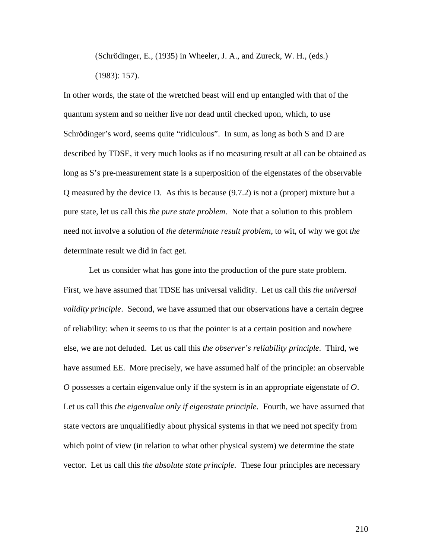(Schrödinger, E., (1935) in Wheeler, J. A., and Zureck, W. H., (eds.) (1983): 157).

In other words, the state of the wretched beast will end up entangled with that of the quantum system and so neither live nor dead until checked upon, which, to use Schrödinger's word, seems quite "ridiculous". In sum, as long as both S and D are described by TDSE, it very much looks as if no measuring result at all can be obtained as long as S's pre-measurement state is a superposition of the eigenstates of the observable Q measured by the device D. As this is because (9.7.2) is not a (proper) mixture but a pure state, let us call this *the pure state problem*. Note that a solution to this problem need not involve a solution of *the determinate result problem*, to wit, of why we got *the* determinate result we did in fact get.

Let us consider what has gone into the production of the pure state problem. First, we have assumed that TDSE has universal validity. Let us call this *the universal validity principle*. Second, we have assumed that our observations have a certain degree of reliability: when it seems to us that the pointer is at a certain position and nowhere else, we are not deluded. Let us call this *the observer's reliability principle*. Third, we have assumed EE. More precisely, we have assumed half of the principle: an observable *O* possesses a certain eigenvalue only if the system is in an appropriate eigenstate of *O*. Let us call this *the eigenvalue only if eigenstate principle*. Fourth, we have assumed that state vectors are unqualifiedly about physical systems in that we need not specify from which point of view (in relation to what other physical system) we determine the state vector. Let us call this *the absolute state principle.* These four principles are necessary

210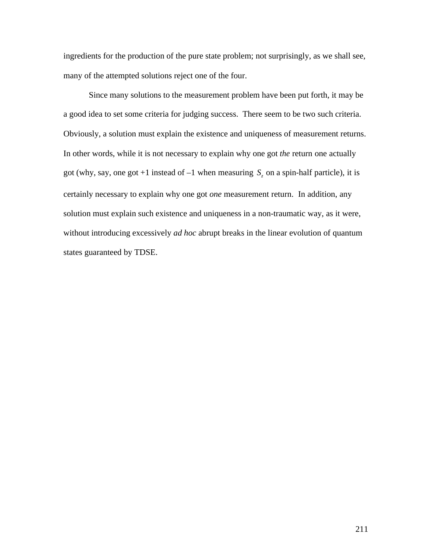ingredients for the production of the pure state problem; not surprisingly, as we shall see, many of the attempted solutions reject one of the four.

Since many solutions to the measurement problem have been put forth, it may be a good idea to set some criteria for judging success. There seem to be two such criteria. Obviously, a solution must explain the existence and uniqueness of measurement returns. In other words, while it is not necessary to explain why one got *the* return one actually got (why, say, one got +1 instead of  $-1$  when measuring  $S_z$  on a spin-half particle), it is solution must explain such existence and uniqueness in a non-traumatic way, as it were, certainly necessary to explain why one got *one* measurement return. In addition, any without introducing excessively *ad hoc* abrupt breaks in the linear evolution of quantum states guaranteed by TDSE.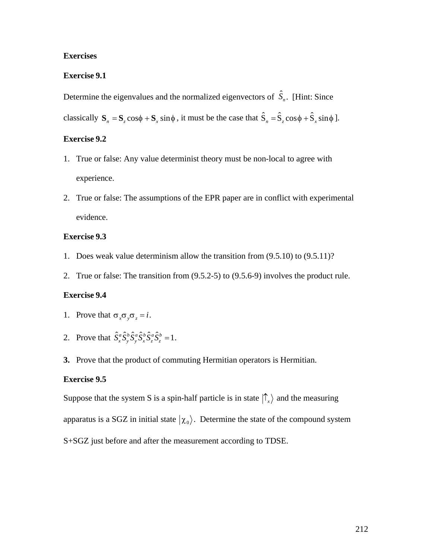## **Exercises**

# **Exercise 9.1**

Determine the eigenvalues and the normalized eigenvectors of  $\hat{S}_n$ . [Hint: Since

classically  $S_n = S_z \cos \phi + S_x \sin \phi$ , it must be the case that  $\hat{S}_n = \hat{S}_z \cos \phi + \hat{S}_x \sin \phi$ .

## **Exercise 9.2**

- 1. True or false: Any value determinist theory must be non-local to agree with experience.
- 2. True or false: The assumptions of the EPR paper are in conflict with experimental evidence.

## **Exercise 9.3**

- 1. Does weak value determinism allow the transition from (9.5.10) to (9.5.11)?
- 2. True or false: The transition from (9.5.2-5) to (9.5.6-9) involves the product rule.

# **Exercise 9.4**

- 1. Prove that  $\sigma_x \sigma_y \sigma_z = i$ .
- 2. Prove that  $\hat{S}_x^a \hat{S}_y^b \hat{S}_y^a \hat{S}_z^b \hat{S}_z^a \hat{S}_z^b = 1$ .
- †<br>† 1999 Santa Co **3.** Prove that the product of commuting Hermitian operators is Hermitian.

# † **Exercise 9.5**

Suppose that the system S is a spin-half particle is in state  $|\hat{\Gamma}_x\rangle$  and the measuring  $\mathbf{r}$ apparatus is a SGZ in initial state  $|\chi_0\rangle$ . Determine the state of the compound system S+SGZ just before and after the measurement according to TDSE.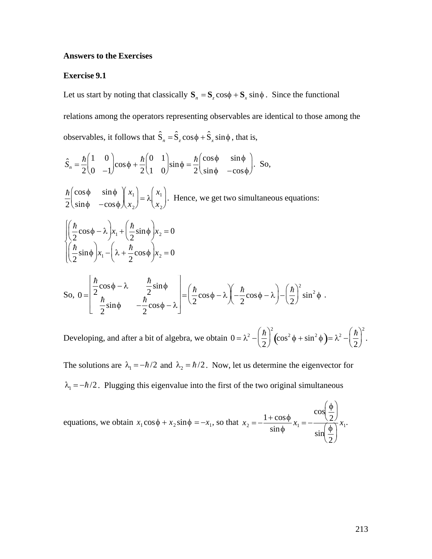## **Answers to the Exercises**

#### **Exercise 9.1**

Let us start by noting that classically  $S_n = S_z \cos \phi + S_x \sin \phi$ . Since the functional relations among the operators representing observables are identical to those among the observables, it follows that  $\hat{S}_n = \hat{S}_z \cos \phi + \hat{S}_x \sin \phi$ , that is,

$$
\hat{S}_n = \frac{\hbar}{2} \begin{pmatrix} 1 & 0 \\ 0 & -1 \end{pmatrix} \cos \phi + \frac{\hbar}{2} \begin{pmatrix} 0 & 1 \\ 1 & 0 \end{pmatrix} \sin \phi = \frac{\hbar}{2} \begin{pmatrix} \cos \phi & \sin \phi \\ \sin \phi & -\cos \phi \end{pmatrix}.
$$
 So,

 $\frac{\hbar}{2} \begin{pmatrix} \cos \phi & \sin \phi \\ \sin \phi & -\cos \phi \end{pmatrix} \begin{pmatrix} x_1 \\ x_2 \end{pmatrix} = \lambda \begin{pmatrix} x_1 \\ x_2 \end{pmatrix}$ . Hence, we get two simultaneous equations:

$$
\begin{cases} \left(\frac{\hbar}{2}\cos\phi - \lambda\right) x_1 + \left(\frac{\hbar}{2}\sin\phi\right) x_2 = 0\\ \left(\frac{\hbar}{2}\sin\phi\right) x_1 - \left(\lambda + \frac{\hbar}{2}\cos\phi\right) x_2 = 0 \end{cases}
$$

So, 
$$
0 = \begin{bmatrix} \frac{\hbar}{2}\cos\phi - \lambda & \frac{\hbar}{2}\sin\phi \\ \frac{\hbar}{2}\sin\phi & -\frac{\hbar}{2}\cos\phi - \lambda \end{bmatrix} = \left(\frac{\hbar}{2}\cos\phi - \lambda\right) \left(-\frac{\hbar}{2}\cos\phi - \lambda\right) - \left(\frac{\hbar}{2}\right)^2 \sin^2\phi
$$
.

Developing, and after a bit of algebra, we obtain  $0 = \lambda^2 - \left(\frac{\hbar}{2}\right)^2 \left(\cos^2 \phi + \sin^2 \phi\right) = \lambda^2 - \left(\frac{\hbar}{2}\right)^2$ .

The solutions are  $\lambda_1 = -\hbar/2$  and  $\lambda_2 = \hbar/2$ . Now, let us determine the eigenvector for  $\lambda_1 = -\hbar/2$ . Plugging this eigenvalue into the first of the two original simultaneous

equations, we obtain  $x_1 \cos \phi + x_2 \sin \phi = -x_1$ , so that  $x_2 = -\frac{1 + \cos \phi}{\sin \phi} x_1 = -\frac{\cos \left(\frac{\phi}{2}\right)}{\sin \left(\frac{\phi}{2}\right)} x_1$ .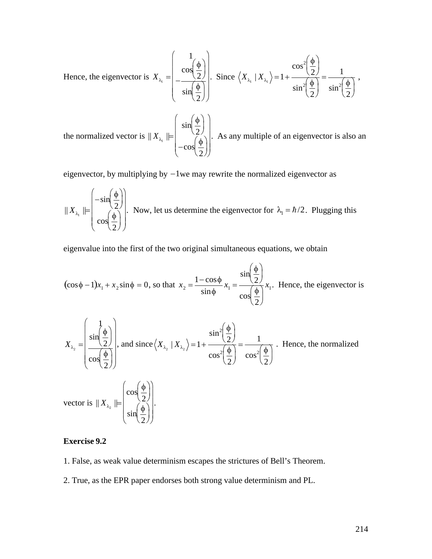Hence, the eigenvector is 
$$
X_{\lambda_1} = \begin{pmatrix} 1 \\ \cos(\frac{\phi}{2}) \\ \sin(\frac{\phi}{2}) \end{pmatrix}
$$
. Since  $\langle X_{\lambda_1} | X_{\lambda_1} \rangle = 1 + \frac{\cos^2(\frac{\phi}{2})}{\sin^2(\frac{\phi}{2})} = \frac{1}{\sin^2(\frac{\phi}{2})}$ ,

the normalized vector is  $||X_{\lambda_1}|| = \begin{pmatrix} \sin(\frac{\pi}{2}) \\ -\cos(\frac{\phi}{2}) \end{pmatrix}$ . As any multiple of an eigenvector is also an

eigenvector, by multiplying by  $-1$  we may rewrite the normalized eigenvector as

$$
\|X_{\lambda_1}\| = \begin{pmatrix} -\sin\left(\frac{\phi}{2}\right) \\ \cos\left(\frac{\phi}{2}\right) \end{pmatrix}
$$
. Now, let us determine the eigenvector for  $\lambda_1 = \hbar/2$ . Plugging this

eigenvalue into the first of the two original simultaneous equations, we obtain

$$
(\cos\phi - 1)x_1 + x_2 \sin\phi = 0, \text{ so that } x_2 = \frac{1 - \cos\phi}{\sin\phi} x_1 = \frac{\sin\left(\frac{\phi}{2}\right)}{\cos\left(\frac{\phi}{2}\right)} x_1. \text{ Hence, the eigenvector is}
$$

$$
X_{\lambda_2} = \begin{pmatrix} 1 \\ \frac{\sin(\frac{\phi}{2})}{\cos(\frac{\phi}{2})} \end{pmatrix}, \text{ and since } \left\langle X_{\lambda_2} \mid X_{\lambda_2} \right\rangle = 1 + \frac{\sin^2(\frac{\phi}{2})}{\cos^2(\frac{\phi}{2})} = \frac{1}{\cos^2(\frac{\phi}{2})}.
$$
 Hence, the normalized  
vector is  $||X_{\lambda_2}|| = \begin{pmatrix} \cos(\frac{\phi}{2}) \\ \sin(\frac{\phi}{2}) \end{pmatrix}.$ 

# **Exercise 9.2**

1. False, as weak value determinism escapes the strictures of Bell's Theorem.

2. True, as the EPR paper endorses both strong value determinism and PL.